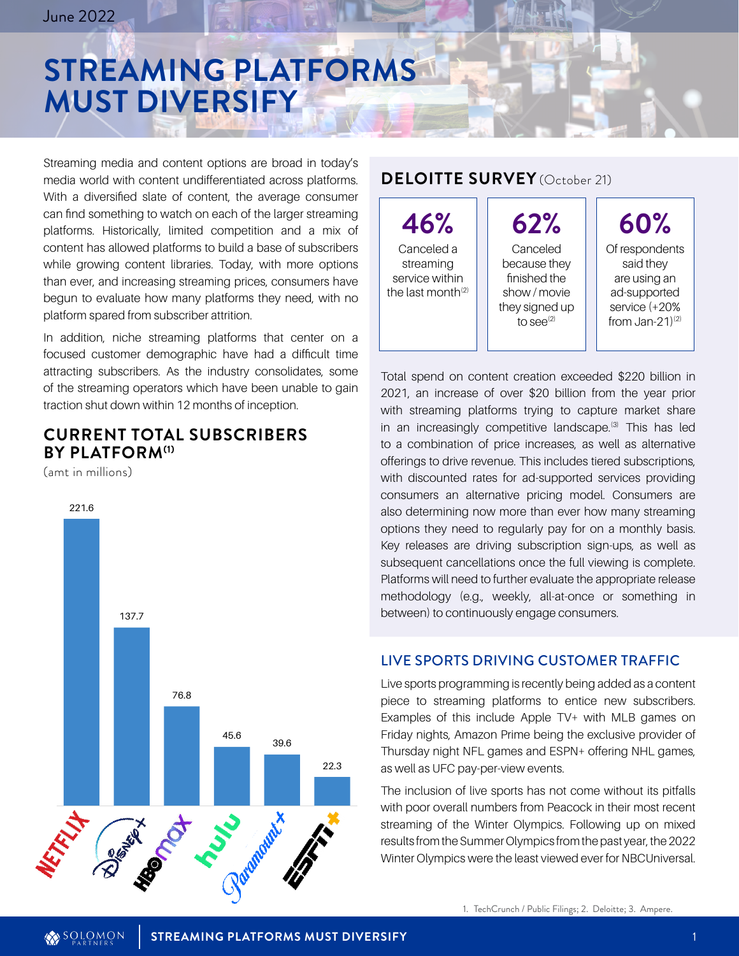# **STREAMING PLATFORMS MUST DIVERSIFY**

Streaming media and content options are broad in today's media world with content undifferentiated across platforms. With a diversified slate of content, the average consumer can find something to watch on each of the larger streaming platforms. Historically, limited competition and a mix of content has allowed platforms to build a base of subscribers while growing content libraries. Today, with more options than ever, and increasing streaming prices, consumers have begun to evaluate how many platforms they need, with no platform spared from subscriber attrition.

In addition, niche streaming platforms that center on a focused customer demographic have had a difficult time attracting subscribers. As the industry consolidates, some of the streaming operators which have been unable to gain traction shut down within 12 months of inception.

### **CURRENT TOTAL SUBSCRIBERS BY PLATFORM(1)**

(amt in millions)



#### **DELOITTE SURVEY** (October 21)

**46%** Canceled a streaming service within the last month $(2)$ 

**62%** Canceled because they finished the show / movie they signed up to see $^{(2)}$ 

**60%** Of respondents said they are using an ad-supported service (+20% from Jan-21 $(2)$ 

Total spend on content creation exceeded \$220 billion in 2021, an increase of over \$20 billion from the year prior with streaming platforms trying to capture market share in an increasingly competitive landscape.<sup>(3)</sup> This has led to a combination of price increases, as well as alternative offerings to drive revenue. This includes tiered subscriptions, with discounted rates for ad-supported services providing consumers an alternative pricing model. Consumers are also determining now more than ever how many streaming options they need to regularly pay for on a monthly basis. Key releases are driving subscription sign-ups, as well as subsequent cancellations once the full viewing is complete. Platforms will need to further evaluate the appropriate release methodology (e.g., weekly, all-at-once or something in between) to continuously engage consumers.

#### LIVE SPORTS DRIVING CUSTOMER TRAFFIC

Live sports programming is recently being added as a content piece to streaming platforms to entice new subscribers. Examples of this include Apple TV+ with MLB games on Friday nights, Amazon Prime being the exclusive provider of Thursday night NFL games and ESPN+ offering NHL games, as well as UFC pay-per-view events.

The inclusion of live sports has not come without its pitfalls with poor overall numbers from Peacock in their most recent streaming of the Winter Olympics. Following up on mixed results from the Summer Olympics from the past year, the 2022 Winter Olympics were the least viewed ever for NBCUniversal.

1. TechCrunch / Public Filings; 2. Deloitte; 3. Ampere.